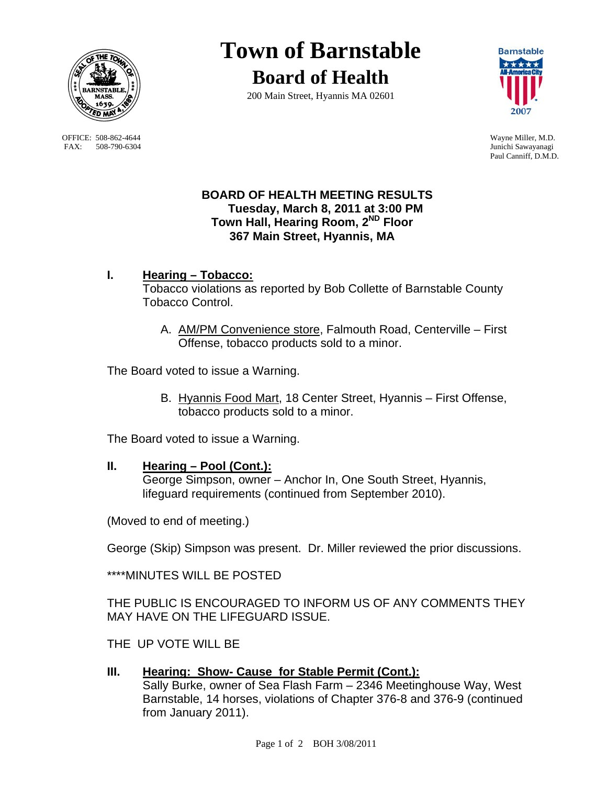

OFFICE: 508-862-4644 Wayne Miller, M.D.<br>
FAX: 508-790-6304 Junichi Sawayanagi FAX: 508-790-6304

# **Town of Barnstable Board of Health**





Paul Canniff, D.M.D.

## **BOARD OF HEALTH MEETING RESULTS Tuesday, March 8, 2011 at 3:00 PM Town Hall, Hearing Room, 2ND Floor 367 Main Street, Hyannis, MA**

- **I. Hearing Tobacco:** Tobacco violations as reported by Bob Collette of Barnstable County Tobacco Control.
	- A. AM/PM Convenience store, Falmouth Road, Centerville First Offense, tobacco products sold to a minor.

The Board voted to issue a Warning.

B. Hyannis Food Mart, 18 Center Street, Hyannis – First Offense, tobacco products sold to a minor.

The Board voted to issue a Warning.

#### **II. Hearing – Pool (Cont.):**

 George Simpson, owner – Anchor In, One South Street, Hyannis, lifeguard requirements (continued from September 2010).

(Moved to end of meeting.)

George (Skip) Simpson was present. Dr. Miller reviewed the prior discussions.

\*\*\*\*MINUTES WILL BE POSTED

THE PUBLIC IS ENCOURAGED TO INFORM US OF ANY COMMENTS THEY MAY HAVE ON THE LIFEGUARD ISSUE.

THE UP VOTE WILL BE

# **III. Hearing: Show- Cause for Stable Permit (Cont.):**

 Sally Burke, owner of Sea Flash Farm – 2346 Meetinghouse Way, West Barnstable, 14 horses, violations of Chapter 376-8 and 376-9 (continued from January 2011).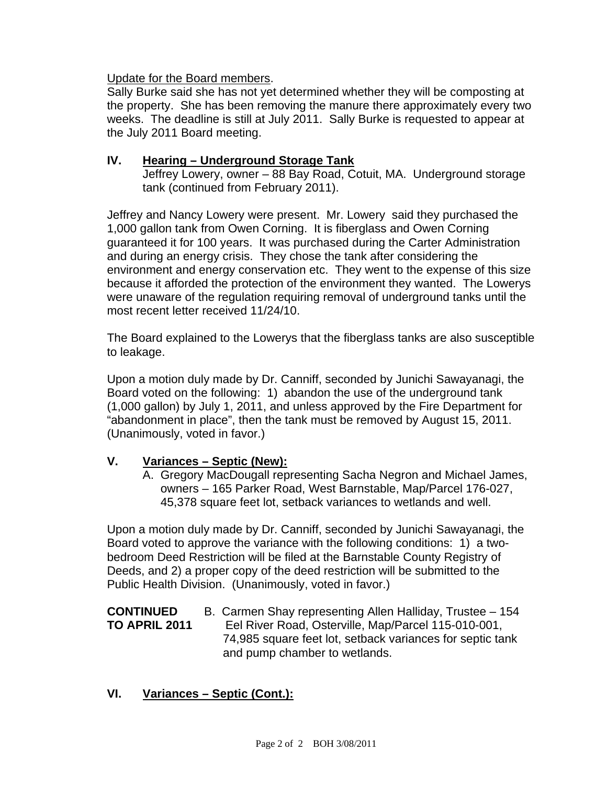Update for the Board members.

Sally Burke said she has not yet determined whether they will be composting at the property. She has been removing the manure there approximately every two weeks. The deadline is still at July 2011. Sally Burke is requested to appear at the July 2011 Board meeting.

## **IV. Hearing – Underground Storage Tank**

Jeffrey Lowery, owner – 88 Bay Road, Cotuit, MA. Underground storage tank (continued from February 2011).

Jeffrey and Nancy Lowery were present. Mr. Lowery said they purchased the 1,000 gallon tank from Owen Corning. It is fiberglass and Owen Corning guaranteed it for 100 years. It was purchased during the Carter Administration and during an energy crisis. They chose the tank after considering the environment and energy conservation etc. They went to the expense of this size because it afforded the protection of the environment they wanted. The Lowerys were unaware of the regulation requiring removal of underground tanks until the most recent letter received 11/24/10.

The Board explained to the Lowerys that the fiberglass tanks are also susceptible to leakage.

Upon a motion duly made by Dr. Canniff, seconded by Junichi Sawayanagi, the Board voted on the following: 1) abandon the use of the underground tank (1,000 gallon) by July 1, 2011, and unless approved by the Fire Department for "abandonment in place", then the tank must be removed by August 15, 2011. (Unanimously, voted in favor.)

## **V. Variances – Septic (New):**

A. Gregory MacDougall representing Sacha Negron and Michael James, owners – 165 Parker Road, West Barnstable, Map/Parcel 176-027, 45,378 square feet lot, setback variances to wetlands and well.

Upon a motion duly made by Dr. Canniff, seconded by Junichi Sawayanagi, the Board voted to approve the variance with the following conditions: 1) a twobedroom Deed Restriction will be filed at the Barnstable County Registry of Deeds, and 2) a proper copy of the deed restriction will be submitted to the Public Health Division. (Unanimously, voted in favor.)

#### **CONTINUED** B. Carmen Shay representing Allen Halliday, Trustee – 154 **TO APRIL 2011** Eel River Road, Osterville, Map/Parcel 115-010-001, 74,985 square feet lot, setback variances for septic tank and pump chamber to wetlands.

## **VI. Variances – Septic (Cont.):**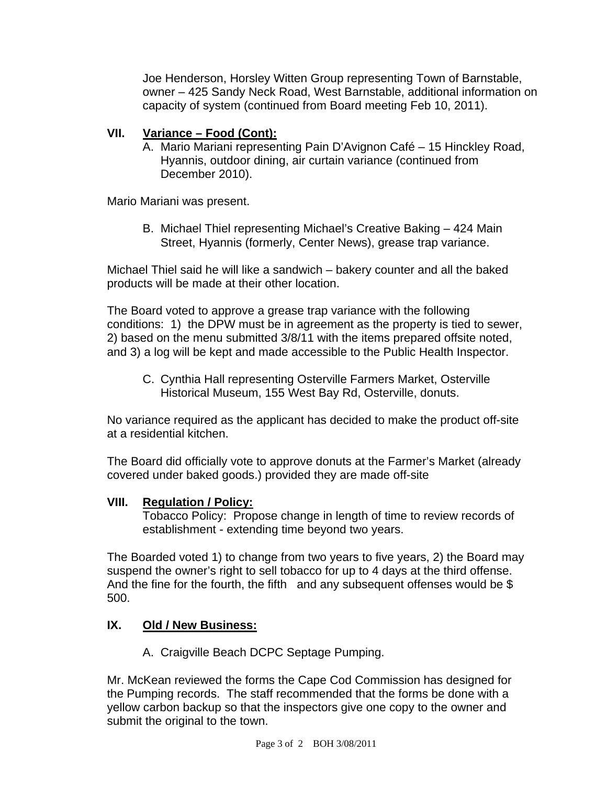Joe Henderson, Horsley Witten Group representing Town of Barnstable, owner – 425 Sandy Neck Road, West Barnstable, additional information on capacity of system (continued from Board meeting Feb 10, 2011).

# **VII. Variance – Food (Cont):**

A. Mario Mariani representing Pain D'Avignon Café – 15 Hinckley Road, Hyannis, outdoor dining, air curtain variance (continued from December 2010).

Mario Mariani was present.

B. Michael Thiel representing Michael's Creative Baking – 424 Main Street, Hyannis (formerly, Center News), grease trap variance.

Michael Thiel said he will like a sandwich – bakery counter and all the baked products will be made at their other location.

The Board voted to approve a grease trap variance with the following conditions: 1) the DPW must be in agreement as the property is tied to sewer, 2) based on the menu submitted 3/8/11 with the items prepared offsite noted, and 3) a log will be kept and made accessible to the Public Health Inspector.

C. Cynthia Hall representing Osterville Farmers Market, Osterville Historical Museum, 155 West Bay Rd, Osterville, donuts.

No variance required as the applicant has decided to make the product off-site at a residential kitchen.

The Board did officially vote to approve donuts at the Farmer's Market (already covered under baked goods.) provided they are made off-site

## **VIII. Regulation / Policy:**

 Tobacco Policy: Propose change in length of time to review records of establishment - extending time beyond two years.

The Boarded voted 1) to change from two years to five years, 2) the Board may suspend the owner's right to sell tobacco for up to 4 days at the third offense. And the fine for the fourth, the fifth and any subsequent offenses would be  $$$ 500.

## **IX. Old / New Business:**

A. Craigville Beach DCPC Septage Pumping.

Mr. McKean reviewed the forms the Cape Cod Commission has designed for the Pumping records. The staff recommended that the forms be done with a yellow carbon backup so that the inspectors give one copy to the owner and submit the original to the town.